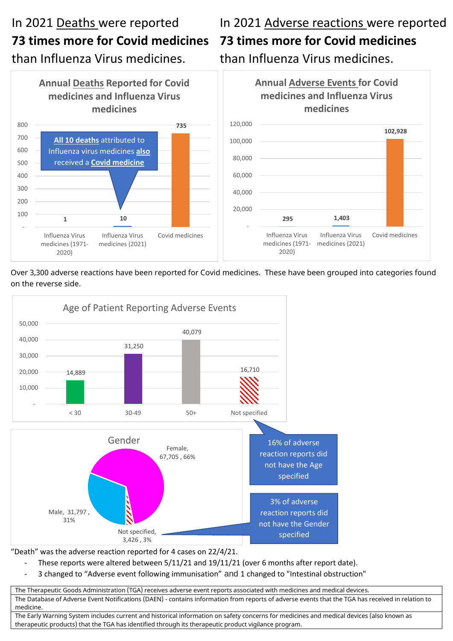## In 2021 Deaths were reported **73 times more for Covid medicines**  than Influenza Virus medicines.

## In 2021 Adverse reactions were reported **73 times more for Covid medicines**  than Influenza Virus medicines.



Over 3,300 adverse reactions have been reported for Covid medicines. These have been grouped into categories found on the reverse side.



"Death" was the adverse reaction reported for 4 cases on 22/4/21.

- These reports were altered between 5/11/21 and 19/11/21 (over 6 months after report date).
- 3 changed to "Adverse event following immunisation" and 1 changed to "Intestinal obstruction"

The Therapeutic Goods Administration (TGA) receives adverse event reports associated with medicines and medical devices. The Database of Adverse Event Notifications (DAEN) - contains information from reports of adverse events that the TGA has received in relation to medicine.

The Early Warning System includes current and historical information on safety concerns for medicines and medical devices (also known as therapeutic products) that the TGA has identified through its therapeutic product vigilance program.